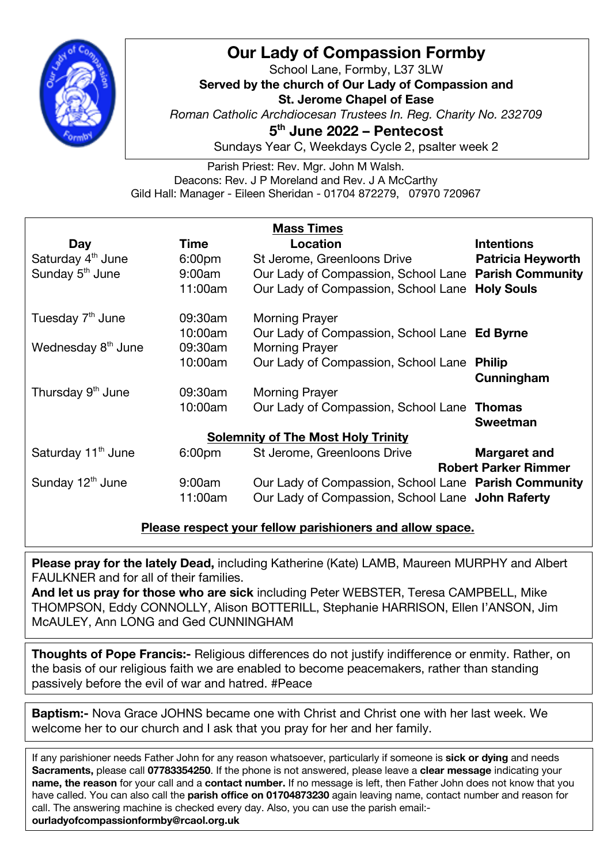

## **Our Lady of Compassion Formby**

School Lane, Formby, L37 3LW **Served by the church of Our Lady of Compassion and St. Jerome Chapel of Ease** *Roman Catholic Archdiocesan Trustees In. Reg. Charity No. 232709* **5th June 2022 – Pentecost** Sundays Year C, Weekdays Cycle 2, psalter week 2

Parish Priest: Rev. Mgr. John M Walsh. Deacons: Rev. J P Moreland and Rev. J A McCarthy Gild Hall: Manager - Eileen Sheridan - 01704 872279, 07970 720967

| <b>Mass Times</b>                         |                    |                                                      |                          |
|-------------------------------------------|--------------------|------------------------------------------------------|--------------------------|
| Day                                       | Time               | Location                                             | <b>Intentions</b>        |
| Saturday 4 <sup>th</sup> June             | 6:00pm             | St Jerome, Greenloons Drive                          | <b>Patricia Heyworth</b> |
| Sunday 5 <sup>th</sup> June               | 9:00am             | Our Lady of Compassion, School Lane Parish Community |                          |
|                                           | 11:00am            | Our Lady of Compassion, School Lane                  | <b>Holy Souls</b>        |
| Tuesday 7 <sup>th</sup> June              | 09:30am            | <b>Morning Prayer</b>                                |                          |
|                                           | 10:00am            | Our Lady of Compassion, School Lane Ed Byrne         |                          |
| Wednesday 8 <sup>th</sup> June            | 09:30am            | <b>Morning Prayer</b>                                |                          |
|                                           | 10:00am            | Our Lady of Compassion, School Lane                  | <b>Philip</b>            |
|                                           |                    |                                                      | Cunningham               |
| Thursday 9 <sup>th</sup> June             | 09:30am            | <b>Morning Prayer</b>                                |                          |
|                                           | 10:00am            | Our Lady of Compassion, School Lane                  | <b>Thomas</b>            |
|                                           |                    |                                                      | <b>Sweetman</b>          |
| <b>Solemnity of The Most Holy Trinity</b> |                    |                                                      |                          |
| Saturday 11 <sup>th</sup> June            | 6:00 <sub>pm</sub> | St Jerome, Greenloons Drive                          | <b>Margaret and</b>      |
| <b>Robert Parker Rimmer</b>               |                    |                                                      |                          |
| Sunday 12 <sup>th</sup> June              | 9:00am             | Our Lady of Compassion, School Lane Parish Community |                          |
|                                           | 11:00am            | Our Lady of Compassion, School Lane John Raferty     |                          |

## **Please respect your fellow parishioners and allow space.**

**Please pray for the lately Dead,** including Katherine (Kate) LAMB, Maureen MURPHY and Albert FAULKNER and for all of their families.

**And let us pray for those who are sick** including Peter WEBSTER, Teresa CAMPBELL, Mike THOMPSON, Eddy CONNOLLY, Alison BOTTERILL, Stephanie HARRISON, Ellen I'ANSON, Jim McAULEY, Ann LONG and Ged CUNNINGHAM

**Thoughts of Pope Francis:-** Religious differences do not justify indifference or enmity. Rather, on the basis of our religious faith we are enabled to become peacemakers, rather than standing passively before the evil of war and hatred. #Peace

**Baptism:-** Nova Grace JOHNS became one with Christ and Christ one with her last week. We welcome her to our church and I ask that you pray for her and her family.

If any parishioner needs Father John for any reason whatsoever, particularly if someone is **sick or dying** and needs **Sacraments,** please call **07783354250**. If the phone is not answered, please leave a **clear message** indicating your **name, the reason** for your call and a **contact number.** If no message is left, then Father John does not know that you have called. You can also call the **parish office on 01704873230** again leaving name, contact number and reason for call. The answering machine is checked every day. Also, you can use the parish email: **ourladyofcompassionformby@rcaol.org.uk**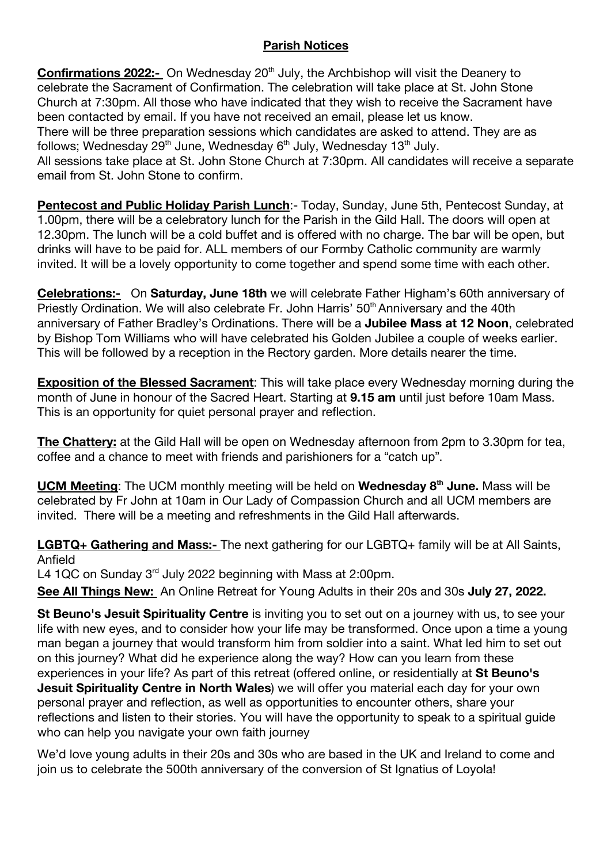## **Parish Notices**

**Confirmations 2022:-** On Wednesday 20<sup>th</sup> July, the Archbishop will visit the Deanery to celebrate the Sacrament of Confirmation. The celebration will take place at St. John Stone Church at 7:30pm. All those who have indicated that they wish to receive the Sacrament have been contacted by email. If you have not received an email, please let us know. There will be three preparation sessions which candidates are asked to attend. They are as follows; Wednesday 29<sup>th</sup> June, Wednesday 6<sup>th</sup> July, Wednesday 13<sup>th</sup> July. All sessions take place at St. John Stone Church at 7:30pm. All candidates will receive a separate email from St. John Stone to confirm.

**Pentecost and Public Holiday Parish Lunch**:- Today, Sunday, June 5th, Pentecost Sunday, at 1.00pm, there will be a celebratory lunch for the Parish in the Gild Hall. The doors will open at 12.30pm. The lunch will be a cold buffet and is offered with no charge. The bar will be open, but drinks will have to be paid for. ALL members of our Formby Catholic community are warmly invited. It will be a lovely opportunity to come together and spend some time with each other.

**Celebrations:-** On **Saturday, June 18th** we will celebrate Father Higham's 60th anniversary of Priestly Ordination. We will also celebrate Fr. John Harris' 50<sup>th</sup> Anniversary and the 40th anniversary of Father Bradley's Ordinations. There will be a **Jubilee Mass at 12 Noon**, celebrated by Bishop Tom Williams who will have celebrated his Golden Jubilee a couple of weeks earlier. This will be followed by a reception in the Rectory garden. More details nearer the time.

**Exposition of the Blessed Sacrament**: This will take place every Wednesday morning during the month of June in honour of the Sacred Heart. Starting at **9.15 am** until just before 10am Mass. This is an opportunity for quiet personal prayer and reflection.

**The Chattery:** at the Gild Hall will be open on Wednesday afternoon from 2pm to 3.30pm for tea, coffee and a chance to meet with friends and parishioners for a "catch up".

**UCM Meeting**: The UCM monthly meeting will be held on **Wednesday 8th June.** Mass will be celebrated by Fr John at 10am in Our Lady of Compassion Church and all UCM members are invited. There will be a meeting and refreshments in the Gild Hall afterwards.

**LGBTQ+ Gathering and Mass:-** The next gathering for our LGBTQ+ family will be at All Saints, Anfield

L4 1QC on Sunday 3<sup>rd</sup> July 2022 beginning with Mass at 2:00pm.

**See All Things New:** An Online Retreat for Young Adults in their 20s and 30s **July 27, 2022.** 

**St Beuno's Jesuit Spirituality Centre** is inviting you to set out on a journey with us, to see your life with new eyes, and to consider how your life may be transformed. Once upon a time a young man began a journey that would transform him from soldier into a saint. What led him to set out on this journey? What did he experience along the way? How can you learn from these experiences in your life? As part of this retreat (offered online, or residentially at **St Beuno's Jesuit Spirituality Centre in North Wales**) we will offer you material each day for your own personal prayer and reflection, as well as opportunities to encounter others, share your reflections and listen to their stories. You will have the opportunity to speak to a spiritual guide who can help you navigate your own faith journey

We'd love young adults in their 20s and 30s who are based in the UK and Ireland to come and join us to celebrate the 500th anniversary of the conversion of St Ignatius of Loyola!